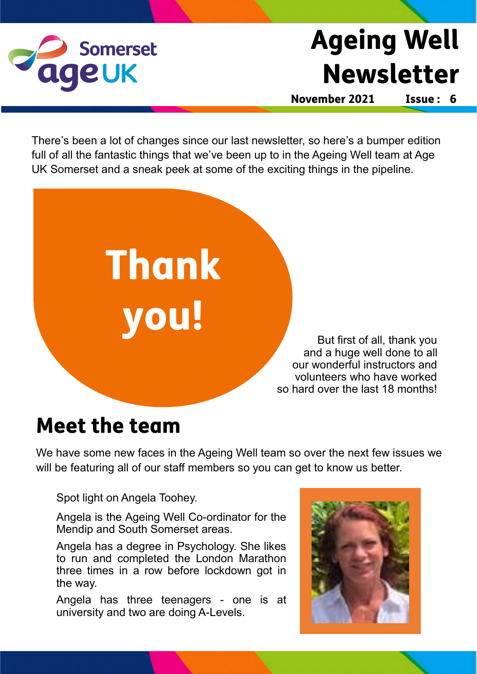

## **Ageing Well Newsletter**

November 2021

Issue: 6

There's been a lot of changes since our last newsletter, so here's a bumper edition full of all the fantastic things that we've been up to in the Ageing Well team at Age UK Somerset and a sneak peek at some of the exciting things in the pipeline.



## **Meet the team**

We have some new faces in the Ageing Well team so over the next few issues we will be featuring all of our staff members so you can get to know us better.

Spot light on Angela Toohey.

Angela is the Ageing Well Co-ordinator for the Mendip and South Somerset areas.

Angela has a degree in Psychology. She likes to run and completed the London Marathon three times in a row before lockdown got in the way.

Angela has three teenagers - one is at university and two are doing A-Levels.

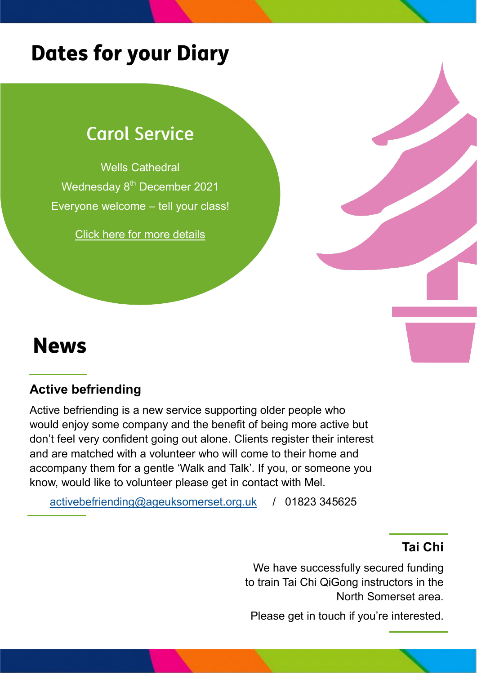## **Dates for your Diary**

### **Carol Service**

Wells Cathedral Wednesday 8<sup>th</sup> December 2021 Everyone welcome – tell your class!

[Click here for more details](https://www.ageuk.org.uk/somerset/activities-and-events/events/christmas-carol-service-2021/)

## **News**

#### **Active befriending**

Active befriending is a new service supporting older people who would enjoy some company and the benefit of being more active but don't feel very confident going out alone. Clients register their interest and are matched with a volunteer who will come to their home and accompany them for a gentle 'Walk and Talk'. If you, or someone you know, would like to volunteer please get in contact with Mel.

[activebefriending@ageuksomerset.org.uk](mailto:activebefriending@ageuksomerset.org.uk) / 01823 345625

#### **Tai Chi**

We have successfully secured funding to train Tai Chi QiGong instructors in the North Somerset area.

Please get in touch if you're interested.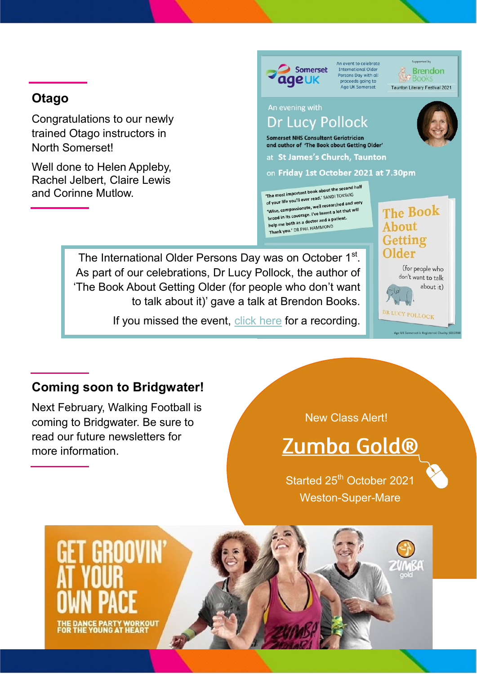#### **Otago**

Congratulations to our newly trained Otago instructors in North Somerset!

Well done to Helen Appleby, Rachel Jelbert, Claire Lewis and Corinne Mutlow.



An event to celebrate International Older<br>Persons Day with all proceeds going to<br>Age UK Somerset



#### An evening with **Dr Lucy Pollock**

**Somerset NHS Consultant Geriatrician** and author of 'The Book about Getting Older'

at St James's Church, Taunton

on Friday 1st October 2021 at 7.30pm

The most important book about the second half The most important book about the second-<br>of your life you'll ever read.' SANDI TOKSVIG of your life you'll ever read." SANDITIONS<br>of your life you'll ever read." SANDITIONS<br>"Wise, compassionate, well researched and very Wise, compassionate, well researched and ver<br>wise, compassionate, I've learnt a lot that will<br>broad in its coverage. I've learnt a patient. broad in its coverage. I've learnt a lot the<br>help me both as a doctor and a patient. help me both as a doctor and a P<br>Thank you.' DR PHIL HAMMOND

The International Older Persons Day was on October 1<sup>st</sup>. As part of our celebrations, Dr Lucy Pollock, the author of 'The Book About Getting Older (for people who don't want to talk about it)' gave a talk at Brendon Books.

If you missed the event, [click here](https://www.ageuk.org.uk/somerset/activities-and-events/events/our-evening-with-dr-lucy-pollock/) for a recording.



**The Book** 

About

**Coming soon to Bridgwater!**

Next February, Walking Football is coming to Bridgwater. Be sure to read our future newsletters for more information.

#### New Class Alert!

## Zumba Gold®

Started 25<sup>th</sup> October 2021 Weston-Super-Mare

# GROOVIN **DANCE PARTY WORKOUT<br>THE YOUNG AT HEART**